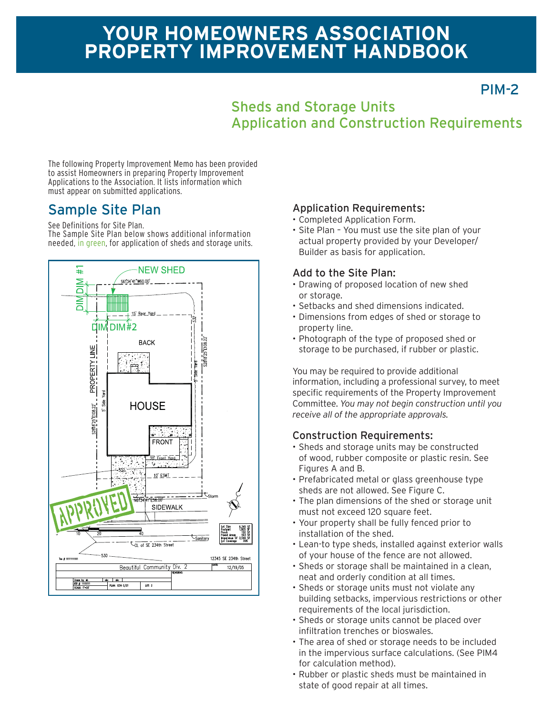# **YOUR HOMEOWNERS ASSOCIATION PROPERTY IMPROVEMENT HANDBOOK**

PIM-2

# Sheds and Storage Units Application and Construction Requirements

The following Property Improvement Memo has been provided to assist Homeowners in preparing Property Improvement Applications to the Association. It lists information which must appear on submitted applications.

See Definitions for Site Plan.

The Sample Site Plan below shows additional information needed, in green, for application of sheds and storage units.



### Sample Site Plan Application Requirements:

- Completed Application Form.
- Site Plan You must use the site plan of your actual property provided by your Developer/ Builder as basis for application.

### Add to the Site Plan:

- Drawing of proposed location of new shed or storage.
- Setbacks and shed dimensions indicated.
- Dimensions from edges of shed or storage to property line.
- Photograph of the type of proposed shed or storage to be purchased, if rubber or plastic.

You may be required to provide additional information, including a professional survey, to meet specific requirements of the Property Improvement Committee. *You may not begin construction until you receive all of the appropriate approvals.*

### Construction Requirements:

- Sheds and storage units may be constructed of wood, rubber composite or plastic resin. See Figures A and B.
- Prefabricated metal or glass greenhouse type sheds are not allowed. See Figure C.
- The plan dimensions of the shed or storage unit must not exceed 120 square feet.
- Your property shall be fully fenced prior to installation of the shed.
- Lean-to type sheds, installed against exterior walls of your house of the fence are not allowed.
- Sheds or storage shall be maintained in a clean, neat and orderly condition at all times.
- Sheds or storage units must not violate any building setbacks, impervious restrictions or other requirements of the local jurisdiction.
- Sheds or storage units cannot be placed over infiltration trenches or bioswales.
- The area of shed or storage needs to be included in the impervious surface calculations. (See PIM4 for calculation method).
- Rubber or plastic sheds must be maintained in state of good repair at all times.